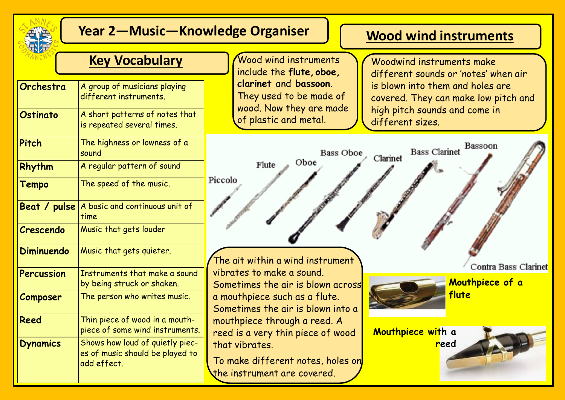

# **Year 2—Music—Knowledge Organiser**

# **Wood wind instruments**

### **Key Vocabulary Wood wind instruments**

| Orchestra         | A group of musicians playing<br>different instruments.                            |
|-------------------|-----------------------------------------------------------------------------------|
| Ostinato          | A short patterns of notes that<br>is repeated several times.                      |
| Pitch             | The highness or lowness of a<br>sound                                             |
| Rhythm            | A regular pattern of sound                                                        |
| <b>Tempo</b>      | The speed of the music.                                                           |
| Beat / pulse      | A basic and continuous unit of<br>time                                            |
| Crescendo         | Music that gets louder                                                            |
| <b>Diminuendo</b> | Music that gets quieter.                                                          |
| Percussion        | Instruments that make a sound<br>by being struck or shaken.                       |
| Composer          | The person who writes music.                                                      |
| Reed              | Thin piece of wood in a mouth-<br>piece of some wind instruments.                 |
| <b>Dynamics</b>   | Shows how loud of quietly piec-<br>es of music should be played to<br>add effect. |

include the **flute, oboe, clarinet** and **bassoon**. They used to be made of wood. Now they are made of plastic and metal.

the instrument are covered.

Woodwind instruments make different sounds or 'notes' when air is blown into them and holes are covered. They can make low pitch and high pitch sounds and come in different sizes.

Bass Clarinet Bassoon **Bass Oboe** Clarinet Oboe Flute Piccolo The ait within a wind instrument **Contra Bass Clarinet** vibrates to make a sound. **Mouthpiece of a**  Sometimes the air is blown across **flute** a mouthpiece such as a flute. Sometimes the air is blown into a mouthpiece through a reed. A **Mouthpiece with a**  reed is a very thin piece of wood that vibrates. **reed**To make different notes, holes on